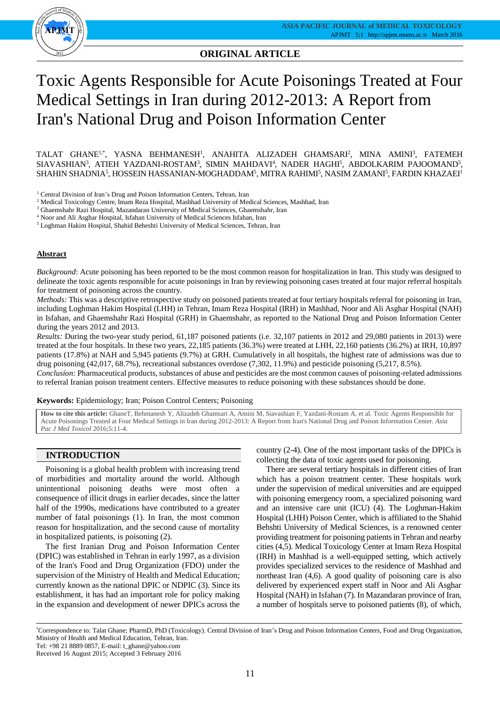

**ORIGINAL ARTICLE**

# Toxic Agents Responsible for Acute Poisonings Treated at Four Medical Settings in Iran during 2012-2013: A Report from Iran's National Drug and Poison Information Center

TALAT GHANE<sup>1,\*</sup>, YASNA BEHMANESH<sup>1</sup>, ANAHITA ALIZADEH GHAMSARI<sup>2</sup>, MINA AMINI<sup>3</sup>, FATEMEH SIAVASHIAN<sup>3</sup>, ATIEH YAZDANI-ROSTAM<sup>3</sup>, SIMIN MAHDAVI<sup>4</sup>, NADER HAGHI<sup>5</sup>, ABDOLKARIM PAJOOMAND<sup>5</sup>, SHAHIN SHADNIA<sup>5</sup>, HOSSEIN HASSANIAN-MOGHADDAM<sup>5</sup>, MITRA RAHIMI<sup>5</sup>, NASIM ZAMANI<sup>5</sup>, FARDIN KHAZAEI<sup>1</sup>

 $^{\rm 1}$  Central Division of Iran's Drug and Poison Information Centers, Tehran, Iran

<sup>2</sup> Medical Toxicology Centre, Imam Reza Hospital, Mashhad University of Medical Sciences, Mashhad, Iran

<sup>3</sup> Ghaemshahr Razi Hospital, Mazandaran University of Medical Sciences, Ghaemshahr, Iran

<sup>4</sup> Noor and Ali Asghar Hospital, Isfahan University of Medical Sciences Isfahan, Iran

<sup>5</sup> Loghman Hakim Hospital, Shahid Beheshti University of Medical Sciences, Tehran, Iran

### **Abstract**

*Background*: Acute poisoning has been reported to be the most common reason for hospitalization in Iran. This study was designed to delineate the toxic agents responsible for acute poisonings in Iran by reviewing poisoning cases treated at four major referral hospitals for treatment of poisoning across the country.

*Methods:* This was a descriptive retrospective study on poisoned patients treated at four tertiary hospitals referral for poisoning in Iran, including Loghman Hakim Hospital (LHH) in Tehran, Imam Reza Hospital (IRH) in Mashhad, Noor and Ali Asghar Hospital (NAH) in Isfahan, and Ghaemshahr Razi Hospital (GRH) in Ghaemshahr, as reported to the National Drug and Poison Information Center during the years 2012 and 2013.

*Results:* During the two-year study period, 61,187 poisoned patients (i.e. 32,107 patients in 2012 and 29,080 patients in 2013) were treated at the four hospitals. In these two years, 22,185 patients (36.3%) were treated at LHH, 22,160 patients (36.2%) at IRH, 10,897 patients (17.8%) at NAH and 5,945 patients (9.7%) at GRH. Cumulatively in all hospitals, the highest rate of admissions was due to drug poisoning (42,017, 68.7%), recreational substances overdose (7,302, 11.9%) and pesticide poisoning (5,217, 8.5%). *Conclusion:* Pharmaceutical products, substances of abuse and pesticides are the most common causes of poisoning-related admissions

to referral Iranian poison treatment centers. Effective measures to reduce poisoning with these substances should be done.

**Keywords:** Epidemiology; Iran; Poison Control Centers; Poisoning

**How to cite this article:** GhaneT, Behmanesh Y, Alizadeh Ghamsari A, Amini M, Siavashian F, Yazdani-Rostam A, et al. Toxic Agents Responsible for Acute Poisonings Treated at Four Medical Settings in Iran during 2012-2013: A Report from Iran's National Drug and Poison Information Center. *Asia Pac J Med Toxicol* 2016;5:11-4.

## **INTRODUCTION**

Poisoning is a global health problem with increasing trend of morbidities and mortality around the world. Although unintentional poisoning deaths were most often a consequence of illicit drugs in earlier decades, since the latter half of the 1990s, medications have contributed to a greater number of fatal poisonings (1). In Iran, the most common reason for hospitalization, and the second cause of mortality in hospitalized patients, is poisoning (2).

The first Iranian Drug and Poison Information Center (DPIC) was established in Tehran in early 1997, as a division of the Iran's Food and Drug Organization (FDO) under the supervision of the Ministry of Health and Medical Education; currently known as the national DPIC or NDPIC (3). Since its establishment, it has had an important role for policy making in the expansion and development of newer DPICs across the

country (2-4). One of the most important tasks of the DPICs is collecting the data of toxic agents used for poisoning.

There are several tertiary hospitals in different cities of Iran which has a poison treatment center. These hospitals work under the supervision of medical universities and are equipped with poisoning emergency room, a specialized poisoning ward and an intensive care unit (ICU) (4). The Loghman-Hakim Hospital (LHH) Poison Center, which is affiliated to the Shahid Behshti University of Medical Sciences, is a renowned center providing treatment for poisoning patients in Tehran and nearby cities (4,5). Medical Toxicology Center at Imam Reza Hospital (IRH) in Mashhad is a well-equipped setting, which actively provides specialized services to the residence of Mashhad and northeast Iran (4,6). A good quality of poisoning care is also delivered by experienced expert staff in Noor and Ali Asghar Hospital (NAH) in Isfahan (7). In Mazandaran province of Iran, a number of hospitals serve to poisoned patients (8), of which,

Tel: +98 21 8889 0857, E-mail: t\_ghane@yahoo.com

<sup>\*</sup>Correspondence to: Talat Ghane; PharmD, PhD (Toxicology). Central Division of Iran's Drug and Poison Information Centers, Food and Drug Organization, Ministry of Health and Medical Education, Tehran, Iran.

Received 16 August 2015; Accepted 3 February 2016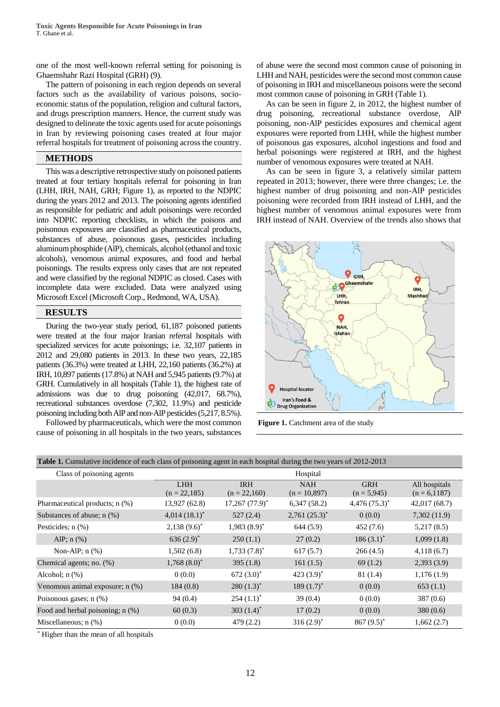one of the most well-known referral setting for poisoning is Ghaemshahr Razi Hospital (GRH) (9).

The pattern of poisoning in each region depends on several factors such as the availability of various poisons, socioeconomic status of the population, religion and cultural factors, and drugs prescription manners. Hence, the current study was designed to delineate the toxic agents used for acute poisonings in Iran by reviewing poisoning cases treated at four major referral hospitals for treatment of poisoning across the country.

#### **METHODS**

This was a descriptive retrospective study on poisoned patients treated at four tertiary hospitals referral for poisoning in Iran (LHH, IRH, NAH, GRH; Figure 1), as reported to the NDPIC during the years 2012 and 2013. The poisoning agents identified as responsible for pediatric and adult poisonings were recorded into NDPIC reporting checklists, in which the poisons and poisonous exposures are classified as pharmaceutical products, substances of abuse, poisonous gases, pesticides including aluminum phosphide (AlP), chemicals, alcohol (ethanol and toxic alcohols), venomous animal exposures, and food and herbal poisonings. The results express only cases that are not repeated and were classified by the regional NDPIC as closed. Cases with incomplete data were excluded. Data were analyzed using Microsoft Excel (Microsoft Corp., Redmond, WA, USA).

# **RESULTS**

During the two-year study period, 61,187 poisoned patients were treated at the four major Iranian referral hospitals with specialized services for acute poisonings; i.e. 32,107 patients in 2012 and 29,080 patients in 2013. In these two years, 22,185 patients (36.3%) were treated at LHH, 22,160 patients (36.2%) at IRH, 10,897 patients (17.8%) at NAH and 5,945 patients (9.7%) at GRH. Cumulatively in all hospitals (Table 1), the highest rate of admissions was due to drug poisoning (42,017, 68.7%), recreational substances overdose (7,302, 11.9%) and pesticide poisoning including both AlP and non-AlP pesticides (5,217, 8.5%).

Followed by pharmaceuticals, which were the most common cause of poisoning in all hospitals in the two years, substances of abuse were the second most common cause of poisoning in LHH and NAH, pesticides were the second most common cause of poisoning in IRH and miscellaneous poisons were the second most common cause of poisoning in GRH (Table 1).

As can be seen in figure 2, in 2012, the highest number of drug poisoning, recreational substance overdose, AlP poisoning, non-AlP pesticides exposures and chemical agent exposures were reported from LHH, while the highest number of poisonous gas exposures, alcohol ingestions and food and herbal poisonings were registered at IRH, and the highest number of venomous exposures were treated at NAH.

As can be seen in figure 3, a relatively similar pattern repeated in 2013; however, there were three changes; i.e. the highest number of drug poisoning and non-AlP pesticides poisoning were recorded from IRH instead of LHH, and the highest number of venomous animal exposures were from IRH instead of NAH. Overview of the trends also shows that



Figure 1. Catchment area of the study

|  |  |  |  | Table 1. Cumulative incidence of each class of poisoning agent in each hospital during the two years of 2012-2013 |
|--|--|--|--|-------------------------------------------------------------------------------------------------------------------|
|  |  |  |  |                                                                                                                   |

| Class of poisoning agents        |                              |                              | Hospital                     |                             |                                  |
|----------------------------------|------------------------------|------------------------------|------------------------------|-----------------------------|----------------------------------|
|                                  | <b>LHH</b><br>$(n = 22,185)$ | <b>IRH</b><br>$(n = 22,160)$ | <b>NAH</b><br>$(n = 10,897)$ | <b>GRH</b><br>$(n = 5,945)$ | All hospitals<br>$(n = 6, 1187)$ |
| Pharmaceutical products; n (%)   | 13,927 (62.8)                | $17,267$ $(77.9)^*$          | 6,347(58.2)                  | $4,476(75.3)^{*}$           | 42,017 (68.7)                    |
| Substances of abuse; $n$ (%)     | $4,014(18.1)^*$              | 527(2.4)                     | $2,761(25.3)^{*}$            | 0(0.0)                      | 7,302(11.9)                      |
| Pesticides; n (%)                | $2,138(9.6)^{*}$             | $1,983(8.9)^*$               | 644(5.9)                     | 452(7.6)                    | 5,217(8.5)                       |
| AlP; $n$ (%)                     | 636 $(2.9)^*$                | 250(1.1)                     | 27(0.2)                      | $186(3.1)^*$                | 1,099(1.8)                       |
| Non-AlP; $n$ $(\%)$              | 1,502(6.8)                   | $1,733(7.8)^*$               | 617(5.7)                     | 266(4.5)                    | 4,118(6.7)                       |
| Chemical agents; no. (%)         | $1,768(8.0)^{*}$             | 395(1.8)                     | 161(1.5)                     | 69(1.2)                     | 2,393(3.9)                       |
| Alcohol; $n$ $(\%)$              | 0(0.0)                       | 672 $(3.0)^*$                | 423 $(3.9)^*$                | 81(1.4)                     | 1,176(1.9)                       |
| Venomous animal exposure; n (%)  | 184(0.8)                     | $280(1.3)^*$                 | 189 $(1.7)^*$                | 0(0.0)                      | 653(1.1)                         |
| Poisonous gases; $n$ $(\%)$      | 94(0.4)                      | $254(1.1)^*$                 | 39(0.4)                      | 0(0.0)                      | 387(0.6)                         |
| Food and herbal poisoning; n (%) | 60(0.3)                      | 303 $(1.4)^*$                | 17(0.2)                      | 0(0.0)                      | 380(0.6)                         |
| Miscellaneous; $n$ $(\%)$        | 0(0.0)                       | 479(2.2)                     | $316(2.9)^*$                 | $867 (9.5)^*$               | 1,662(2.7)                       |

\* Higher than the mean of all hospitals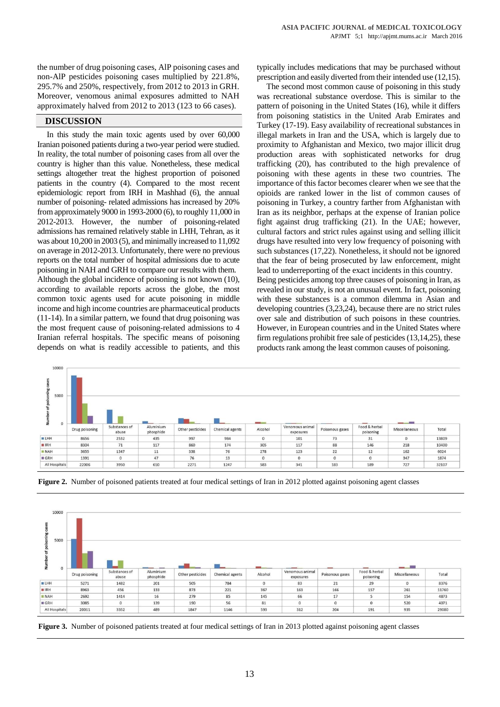the number of drug poisoning cases, AlP poisoning cases and non-AlP pesticides poisoning cases multiplied by 221.8%, 295.7% and 250%, respectively, from 2012 to 2013 in GRH. Moreover, venomous animal exposures admitted to NAH approximately halved from 2012 to 2013 (123 to 66 cases).

#### **DISCUSSION**

 $\cdots$ 

In this study the main toxic agents used by over 60,000 Iranian poisoned patients during a two-year period were studied. In reality, the total number of poisoning cases from all over the country is higher than this value. Nonetheless, these medical settings altogether treat the highest proportion of poisoned patients in the country (4). Compared to the most recent epidemiologic report from IRH in Mashhad (6), the annual number of poisoning- related admissions has increased by 20% from approximately 9000 in 1993-2000 (6), to roughly 11,000 in 2012-2013. However, the number of poisoning-related admissions has remained relatively stable in LHH, Tehran, as it was about 10,200 in 2003 (5), and minimally increased to 11,092 on average in 2012-2013. Unfortunately, there were no previous reports on the total number of hospital admissions due to acute poisoning in NAH and GRH to compare our results with them. Although the global incidence of poisoning is not known (10), according to available reports across the globe, the most common toxic agents used for acute poisoning in middle income and high income countries are pharmaceutical products (11-14). In a similar pattern, we found that drug poisoning was the most frequent cause of poisoning-related admissions to 4 Iranian referral hospitals. The specific means of poisoning depends on what is readily accessible to patients, and this

typically includes medications that may be purchased without prescription and easily diverted from their intended use (12,15).

The second most common cause of poisoning in this study was recreational substance overdose. This is similar to the pattern of poisoning in the United States (16), while it differs from poisoning statistics in the United Arab Emirates and Turkey (17-19). Easy availability of recreational substances in illegal markets in Iran and the USA, which is largely due to proximity to Afghanistan and Mexico, two major illicit drug production areas with sophisticated networks for drug trafficking (20), has contributed to the high prevalence of poisoning with these agents in these two countries. The importance of this factor becomes clearer when we see that the opioids are ranked lower in the list of common causes of poisoning in Turkey, a country farther from Afghanistan with Iran as its neighbor, perhaps at the expense of Iranian police fight against drug trafficking (21). In the UAE; however, cultural factors and strict rules against using and selling illicit drugs have resulted into very low frequency of poisoning with such substances (17,22). Nonetheless, it should not be ignored that the fear of being prosecuted by law enforcement, might lead to underreporting of the exact incidents in this country.

Being pesticides among top three causes of poisoning in Iran, as revealed in our study, is not an unusual event. In fact, poisoning with these substances is a common dilemma in Asian and developing countries (3,23,24), because there are no strict rules over sale and distribution of such poisons in these countries. However, in European countries and in the United States where firm regulations prohibit free sale of pesticides (13,14,25), these products rank among the least common causes of poisoning.

| 5000        |                |                        |                        |                  |                 |                        |                              |                 |                            |                                   |       |
|-------------|----------------|------------------------|------------------------|------------------|-----------------|------------------------|------------------------------|-----------------|----------------------------|-----------------------------------|-------|
|             |                |                        |                        |                  |                 | <b>College College</b> |                              |                 |                            | <b>Contract Contract Contract</b> |       |
| z<br>0      | Drug poisoning | Substances of<br>abuse | Aluminium<br>phosphide | Other pesticides | Chemical agents | Alcohol                | Venomous animal<br>exposures | Poisonous gases | Food & herbal<br>poisoning | Miscellaneous                     | Total |
| <b>BLHH</b> | 8656           | 2532                   | 435                    | 997              | 984             | $\circ$                | 101                          | 73              | 31                         | $\circ$                           | 13809 |
| <b>BIRH</b> | 8304           | 71                     | 117                    | 860              | 174             | 305                    | 117                          | 88              | 146                        | 218                               | 10400 |
| <b>NAH</b>  | 3655           | 1347                   | 11                     | 338              | 76              | 278                    | 123                          | 22              | 12                         | 162                               | 6024  |
| <b>GRH</b>  | 1391           | $\circ$                | 47                     | 76               | 13              | $\Omega$               | $^{\circ}$                   | $\circ$         | $\circ$                    | 347                               | 1874  |